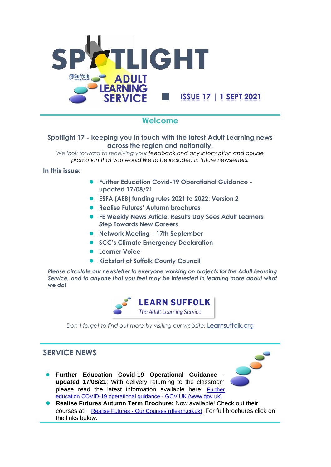

## **Welcome**

### **Spotlight 17 - keeping you in touch with the latest Adult Learning news across the region and nationally.**

*We look forward to receiving your feedback and any information and course promotion that you would like to be included in future newsletters.*

**In this issue:**

- ⚫ **Further Education Covid-19 Operational Guidance updated 17/08/21**
- ⚫ **ESFA (AEB) funding rules 2021 to 2022: Version 2**
- ⚫ **Realise Futures' Autumn brochures**
- ⚫ **FE Weekly News Article: Results Day Sees Adult Learners Step Towards New Careers**
- ⚫ **Network Meeting – 17th September**
- ⚫ **SCC's Climate Emergency Declaration**
- ⚫ **Learner Voice**
- ⚫ **Kickstart at Suffolk County Council**

*Please circulate our newsletter to everyone working on projects for the Adult Learning Service, and to anyone that you feel may be interested in learning more about what we do!*



*Don't forget to find out more by visiting our website:* [Learnsuffolk.org](https://learnsuffolk.org/)

 $\mathcal{S}_\mathbf{c}$ 

# **SERVICE NEWS**

- ⚫ **Further Education Covid-19 Operational Guidance updated 17/08/21**: With delivery returning to the classroom please read the latest information available here: [Further](https://www.gov.uk/government/publications/coronavirus-covid-19-maintaining-further-education-provision/further-education-covid-19-operational-guidance)  [education COVID-19 operational guidance -](https://www.gov.uk/government/publications/coronavirus-covid-19-maintaining-further-education-provision/further-education-covid-19-operational-guidance) GOV.UK (www.gov.uk)
- ⚫ **Realise Futures Autumn Term Brochure:** Now available! Check out their courses at**:** Realise Futures - [Our Courses \(rflearn.co.uk\).](https://www.rflearn.co.uk/courses) For full brochures click on the links below: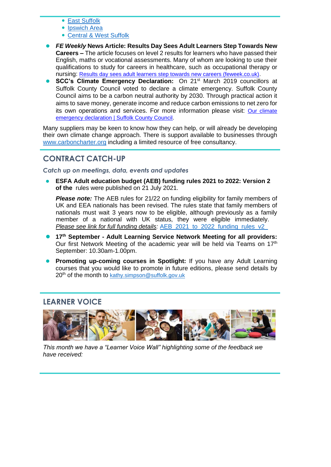- [East Suffolk](https://www.rflearn.co.uk/pdf/East%20Autumn%202021%20Brochure.pdf)
- [Ipswich Area](https://www.rflearn.co.uk/pdf/Ipswich%20Autumn%202021%20Brochure.pdf)
- [Central & West Suffolk](https://www.rflearn.co.uk/pdf/Ipswich%20Autumn%202021%20Brochure.pdf)
- ⚫ *FE Weekly* **News Article: Results Day Sees Adult Learners Step Towards New Careers –** The article focuses on level 2 results for learners who have passed their English, maths or vocational assessments. Many of whom are looking to use their qualifications to study for careers in healthcare, such as occupational therapy or nursing: [Results day sees adult learners step towards new careers \(feweek.co.uk\).](https://feweek.co.uk/2021/08/12/results-day-sees-adult-learners-step-towards-new-careers/?mc_cid=cda26eb302&mc_eid=1e72fdf0ca)
- ⚫ **SCC's Climate Emergency Declaration:** On 21st March 2019 councillors at Suffolk County Council voted to declare a climate emergency. Suffolk County Council aims to be a carbon neutral authority by 2030. Through practical action it aims to save money, generate income and reduce carbon emissions to net zero for its own operations and services. For more information please visit: Our climate [emergency declaration | Suffolk County Council.](https://www.suffolk.gov.uk/planning-waste-and-environment/initiatives/our-climate-emergency-declaration/)

Many suppliers may be keen to know how they can help, or will already be developing their own climate change approach. There is support available to businesses through [www.carboncharter.org](http://www.carboncharter.org/) including a limited resource of free consultancy.

## **CONTRACT CATCH-UP**

*Catch up on meetings, data, events and updates*

⚫ **ESFA Adult education budget (AEB) funding rules 2021 to 2022: Version 2 of the** rules were published on 21 July 2021.

*Please note:* The AEB rules for 21/22 on funding eligibility for family members of UK and EEA nationals has been revised. The rules state that family members of nationals must wait 3 years now to be eligible, although previously as a family member of a national with UK status, they were eligible immediately. *Please see link for full funding details:* [AEB\\_2021\\_to\\_2022\\_funding\\_rules\\_v2\\_](https://www.gov.uk/guidance/adult-education-budget-aeb-funding-rules-2021-to-2022)

- ⚫ **17th September - Adult Learning Service Network Meeting for all providers:**  Our first Network Meeting of the academic year will be held via Teams on  $17<sup>th</sup>$ September: 10.30am-1.00pm.
- **Promoting up-coming courses in Spotlight:** If you have any Adult Learning courses that you would like to promote in future editions, please send details by 20<sup>th</sup> of the month to [kathy.simpson@suffolk.gov.uk](mailto:kathy.simpson@suffolk.gov.uk)

## **LEARNER VOICE**



*This month we have a "Learner Voice Wall" highlighting some of the feedback we have received:*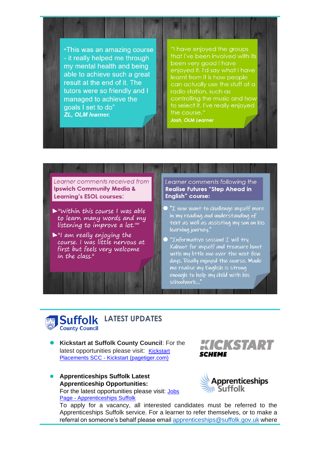"This was an amazing course - it really helped me through my mental health and being able to achieve such a great result at the end of it. The tutors were so friendly and I managed to achieve the qoals I set to do" **ZL. OLM learner.** 

# "I have enjoyed the groups

that I've been involved with its been very good I have enjoyed it. I'd say what I have learnt from it is how people can actually use the stuff at a radio station, such as controlling the music and how to select it. I've really enjoyed the course."

**Josh. OLM Learner** 

### Learner comments received from **Ipswich Community Media & Learning's ESOL courses:**

- $\triangleright$ "Within this course I was able to learn many words and my listening to improve a lot.""
- $\blacktriangleright$ "I am really enjoying the course. I was little nervous at first but feels very welcome in the class."

#### Learner comments following the **Realise Futures "Step Ahead in** English" course:

- $\bullet$  "I now want to challenge myself more in my reading and understanding of text as well as assisting my son on his learning journey."
- $\bullet$  "Informative session! I will try Kahoot for myself and treasure hunt with my little one over the next few days. Really enjoyed the course. Made me realise my English is strong enough to help my child with his schoolwork...'

# **Suffolk LATEST UPDATES County Council**

- ⚫ **Kickstart at Suffolk County Council**: For the latest opportunities please visit: Kickstart Placements SCC - [Kickstart \(pagetiger.com\)](https://view.pagetiger.com/kickstart-placements-scc/homepage/)
- ⚫ **Apprenticeships Suffolk Latest Apprenticeship Opportunities:** For the latest opportunities please visit: [Jobs](https://apprenticeshipssuffolk.org/jobs-page/)  Page - [Apprenticeships Suffolk](https://apprenticeshipssuffolk.org/jobs-page/)





To apply for a vacancy, all interested candidates must be referred to the Apprenticeships Suffolk service. For a learner to refer themselves, or to make a referral on someone's behalf please email [apprenticeships@suffolk.gov.uk](mailto:apprenticeships@suffolk.gov.uk) where